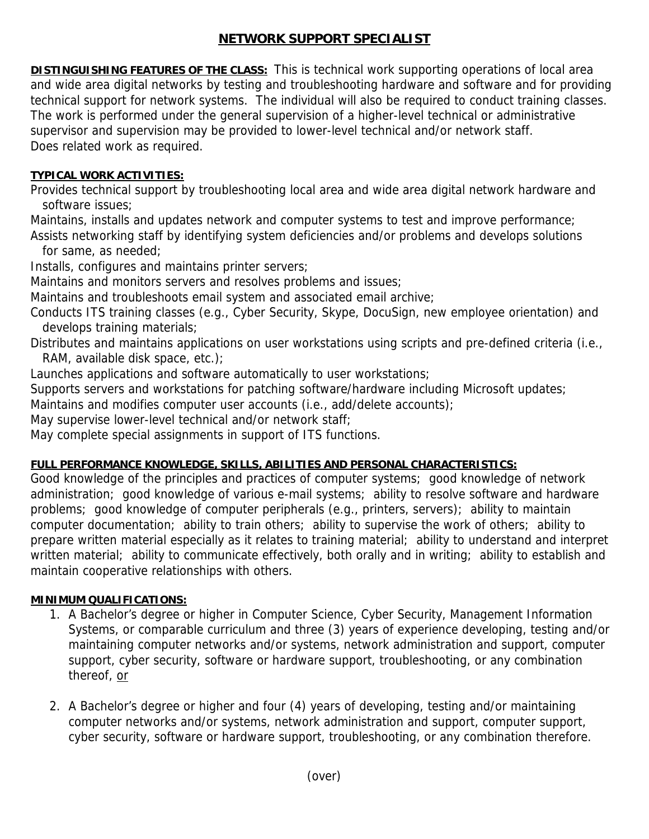## **NETWORK SUPPORT SPECIALIST**

**DISTINGUISHING FEATURES OF THE CLASS:** This is technical work supporting operations of local area and wide area digital networks by testing and troubleshooting hardware and software and for providing technical support for network systems. The individual will also be required to conduct training classes. The work is performed under the general supervision of a higher-level technical or administrative supervisor and supervision may be provided to lower-level technical and/or network staff. Does related work as required.

## **TYPICAL WORK ACTIVITIES:**

Provides technical support by troubleshooting local area and wide area digital network hardware and software issues;

Maintains, installs and updates network and computer systems to test and improve performance; Assists networking staff by identifying system deficiencies and/or problems and develops solutions

for same, as needed;

Installs, configures and maintains printer servers;

Maintains and monitors servers and resolves problems and issues;

Maintains and troubleshoots email system and associated email archive;

Conducts ITS training classes (e.g., Cyber Security, Skype, DocuSign, new employee orientation) and develops training materials;

Distributes and maintains applications on user workstations using scripts and pre-defined criteria (i.e., RAM, available disk space, etc.);

Launches applications and software automatically to user workstations;

Supports servers and workstations for patching software/hardware including Microsoft updates;

Maintains and modifies computer user accounts (i.e., add/delete accounts);

May supervise lower-level technical and/or network staff;

May complete special assignments in support of ITS functions.

## **FULL PERFORMANCE KNOWLEDGE, SKILLS, ABILITIES AND PERSONAL CHARACTERISTICS:**

Good knowledge of the principles and practices of computer systems; good knowledge of network administration; good knowledge of various e-mail systems; ability to resolve software and hardware problems; good knowledge of computer peripherals (e.g., printers, servers); ability to maintain computer documentation; ability to train others; ability to supervise the work of others; ability to prepare written material especially as it relates to training material; ability to understand and interpret written material; ability to communicate effectively, both orally and in writing; ability to establish and maintain cooperative relationships with others.

## **MINIMUM QUALIFICATIONS:**

- 1. A Bachelor's degree or higher in Computer Science, Cyber Security, Management Information Systems, or comparable curriculum and three (3) years of experience developing, testing and/or maintaining computer networks and/or systems, network administration and support, computer support, cyber security, software or hardware support, troubleshooting, or any combination thereof, or
- 2. A Bachelor's degree or higher and four (4) years of developing, testing and/or maintaining computer networks and/or systems, network administration and support, computer support, cyber security, software or hardware support, troubleshooting, or any combination therefore.